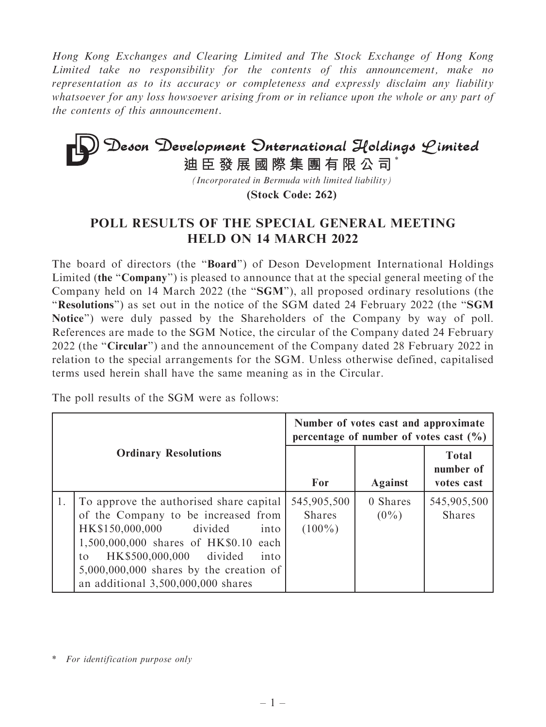Hong Kong Exchanges and Clearing Limited and The Stock Exchange of Hong Kong Limited take no responsibility for the contents of this announcement, make no representation as to its accuracy or completeness and expressly disclaim any liability whatsoever for any loss howsoever arising from or in reliance upon the whole or any part of the contents of this announcement.

## **Deson Development Onternational Holdings Limited**<br>迪臣發展國際集團有限公司<sup>\*</sup>

*(Incorporated in Bermuda with limited liability)*

**(Stock Code: 262)**

## POLL RESULTS OF THE SPECIAL GENERAL MEETING HELD ON 14 MARCH 2022

The board of directors (the ''Board'') of Deson Development International Holdings Limited (the "Company") is pleased to announce that at the special general meeting of the Company held on 14 March 2022 (the ''SGM''), all proposed ordinary resolutions (the ''Resolutions'') as set out in the notice of the SGM dated 24 February 2022 (the ''SGM Notice'') were duly passed by the Shareholders of the Company by way of poll. References are made to the SGM Notice, the circular of the Company dated 24 February 2022 (the "Circular") and the announcement of the Company dated 28 February 2022 in relation to the special arrangements for the SGM. Unless otherwise defined, capitalised terms used herein shall have the same meaning as in the Circular.

The poll results of the SGM were as follows:

|    |                                                                                                                                                                                                                                                                                             | Number of votes cast and approximate<br>percentage of number of votes cast $(\% )$ |                     |                                         |
|----|---------------------------------------------------------------------------------------------------------------------------------------------------------------------------------------------------------------------------------------------------------------------------------------------|------------------------------------------------------------------------------------|---------------------|-----------------------------------------|
|    | <b>Ordinary Resolutions</b>                                                                                                                                                                                                                                                                 | For                                                                                | <b>Against</b>      | <b>Total</b><br>number of<br>votes cast |
| 1. | To approve the authorised share capital<br>of the Company to be increased from<br>HK\$150,000,000<br>divided<br>into<br>1,500,000,000 shares of HK\$0.10 each<br>HK\$500,000,000 divided<br>into<br>to<br>$5,000,000,000$ shares by the creation of<br>an additional $3,500,000,000$ shares | 545,905,500<br><b>Shares</b><br>$(100\%)$                                          | 0 Shares<br>$(0\%)$ | 545,905,500<br><b>Shares</b>            |

\* For identification purpose only